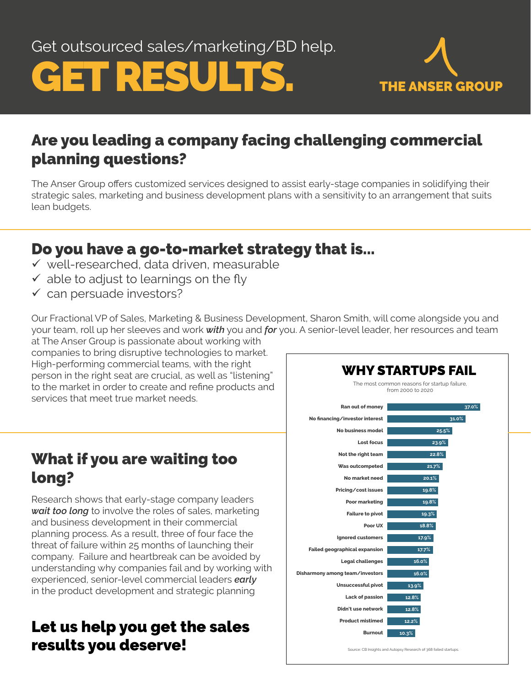Get outsourced sales/marketing/BD help.





# Are you leading a company facing challenging commercial planning questions?

The Anser Group offers customized services designed to assist early-stage companies in solidifying their strategic sales, marketing and business development plans with a sensitivity to an arrangement that suits lean budgets.

### Do you have a go-to-market strategy that is...

- $\checkmark$  well-researched, data driven, measurable
- $\checkmark$  able to adjust to learnings on the fly
- $\checkmark$  can persuade investors?

Our Fractional VP of Sales, Marketing & Business Development, Sharon Smith, will come alongside you and your team, roll up her sleeves and work *with* you and *for* you. A senior-level leader, her resources and team at The Anser Group is passionate about working with

companies to bring disruptive technologies to market. High-performing commercial teams, with the right person in the right seat are crucial, as well as "listening" to the market in order to create and refine products and services that meet true market needs.

# What if you are waiting too long?

Research shows that early-stage company leaders *wait too long* to involve the roles of sales, marketing and business development in their commercial planning process. As a result, three of four face the threat of failure within 25 months of launching their company. Failure and heartbreak can be avoided by understanding why companies fail and by working with experienced, senior-level commercial leaders *early* in the product development and strategic planning

# Let us help you get the sales **12.2% 12.2% 10.3%** results you deserve!